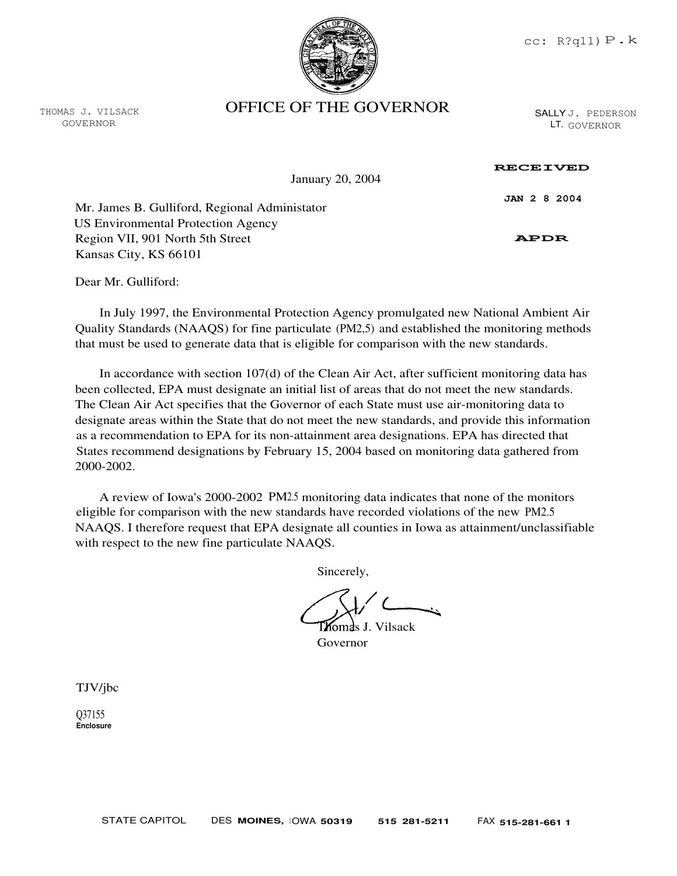

THOMAS J. VILSACK GOVERNOR

## OFFICE OF THE GOVERNOR

SALLY J. PEDERSON LT. GOVERNOR

January 20, 2004

## RECEIVED

JAN 2 8 2004

Mr. James B. Gulliford, Regional Administator US Environmental Protection Agency Region VII, 901 North 5th Street Kansas City, KS 66101

APDR

Dear Mr. Gulliford:

In July 1997, the Environmental Protection Agency promulgated new National Ambient Air Quality Standards (NAAQS) for fine particulate (PM2,5) and established the monitoring methods that must be used to generate data that is eligible for comparison with the new standards.

In accordance with section 107(d) of the Clean Air Act, after sufficient monitoring data has been collected, EPA must designate an initial list of areas that do not meet the new standards. The Clean Air Act specifies that the Governor of each State must use air-monitoring data to designate areas within the State that do not meet the new standards, and provide this information as a recommendation to EPA for its non-attainment area designations. EPA has directed that States recommend designations by February 15, 2004 based on monitoring data gathered from 2000-2002.

A review of Iowa's 2000-2002 PM2.5 monitoring data indicates that none of the monitors eligible for comparison with the new standards have recorded violations of the new PM2.5 NAAQS. I therefore request that EPA designate all counties in Iowa as attainment/unclassifiable with respect to the new fine particulate NAAQS.

Sincerely,

l**k**omas J. Vilsack Governor

TJV/jbc

Q37155 Enclosure